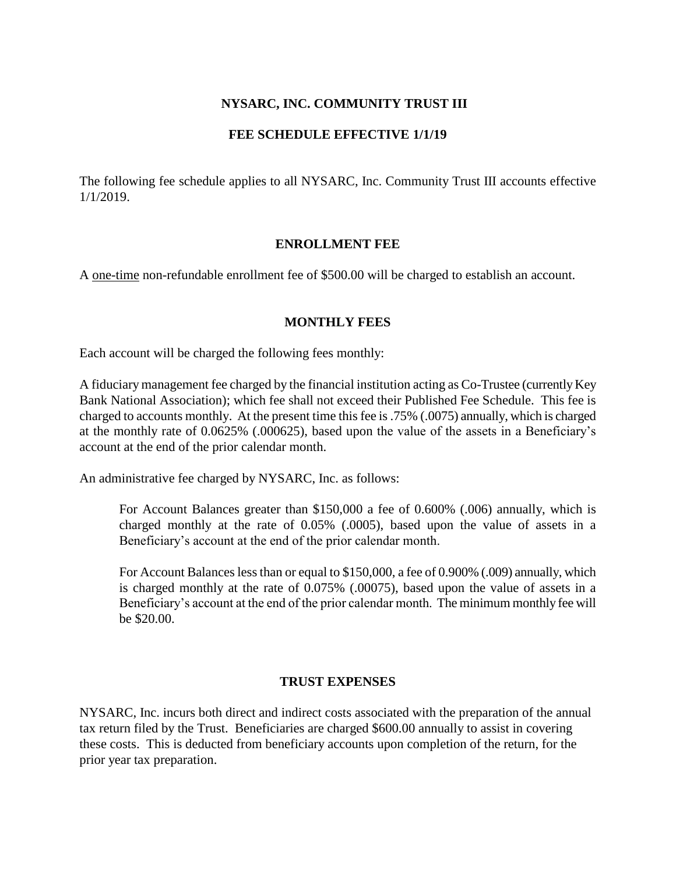# **NYSARC, INC. COMMUNITY TRUST III**

### **FEE SCHEDULE EFFECTIVE 1/1/19**

The following fee schedule applies to all NYSARC, Inc. Community Trust III accounts effective 1/1/2019.

### **ENROLLMENT FEE**

A one-time non-refundable enrollment fee of \$500.00 will be charged to establish an account.

#### **MONTHLY FEES**

Each account will be charged the following fees monthly:

A fiduciary management fee charged by the financial institution acting as Co-Trustee (currently Key Bank National Association); which fee shall not exceed their Published Fee Schedule. This fee is charged to accounts monthly. At the present time this fee is .75% (.0075) annually, which is charged at the monthly rate of 0.0625% (.000625), based upon the value of the assets in a Beneficiary's account at the end of the prior calendar month.

An administrative fee charged by NYSARC, Inc. as follows:

For Account Balances greater than \$150,000 a fee of 0.600% (.006) annually, which is charged monthly at the rate of 0.05% (.0005), based upon the value of assets in a Beneficiary's account at the end of the prior calendar month.

For Account Balances less than or equal to \$150,000, a fee of 0.900% (.009) annually, which is charged monthly at the rate of 0.075% (.00075), based upon the value of assets in a Beneficiary's account at the end of the prior calendar month. The minimum monthly fee will be \$20.00.

### **TRUST EXPENSES**

NYSARC, Inc. incurs both direct and indirect costs associated with the preparation of the annual tax return filed by the Trust. Beneficiaries are charged \$600.00 annually to assist in covering these costs. This is deducted from beneficiary accounts upon completion of the return, for the prior year tax preparation.